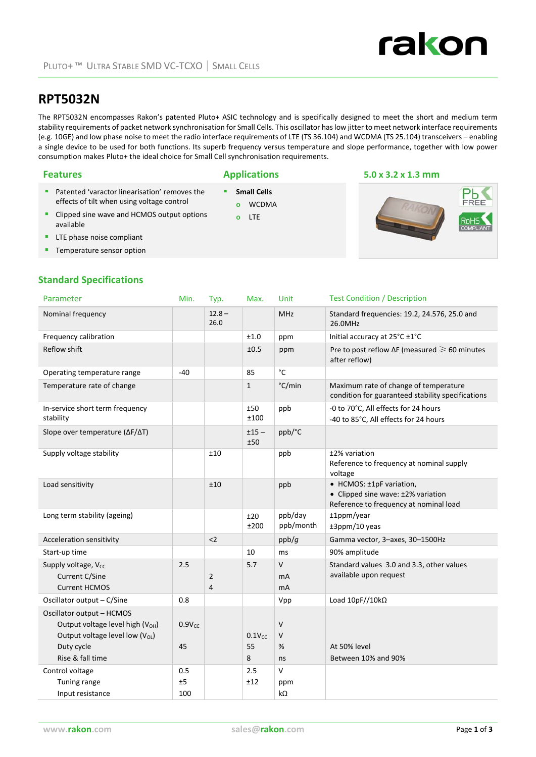

# **RPT5032N**

The RPT5032N encompasses Rakon's patented Pluto+ ASIC technology and is specifically designed to meet the short and medium term stability requirements of packet network synchronisation for Small Cells. This oscillator has low jitter to meet network interface requirements (e.g. 10GE) and low phase noise to meet the radio interface requirements of LTE (TS 36.104) and WCDMA (TS 25.104) transceivers – enabling a single device to be used for both functions. Its superb frequency versus temperature and slope performance, together with low power consumption makes Pluto+ the ideal choice for Small Cell synchronisation requirements.

- **Small Cells**
- **o** WCDMA
	- **o** LTE

### **Features Applications 5.0 x 3.2 x 1.3 mm**



effects of tilt when using voltage control **Clipped sine wave and HCMOS output options** available

**Patented 'varactor linearisation' removes the** 

- **LTE** phase noise compliant
- Temperature sensor option

# **Standard Specifications**

| Parameter                                                                                                                                     | Min.              | Typ.                             | Max.                          | Unit                 | <b>Test Condition / Description</b>                                                                      |
|-----------------------------------------------------------------------------------------------------------------------------------------------|-------------------|----------------------------------|-------------------------------|----------------------|----------------------------------------------------------------------------------------------------------|
| Nominal frequency                                                                                                                             |                   | $12.8 -$<br>26.0                 |                               | <b>MHz</b>           | Standard frequencies: 19.2, 24.576, 25.0 and<br>26.0MHz                                                  |
| Frequency calibration                                                                                                                         |                   |                                  | ±1.0                          | ppm                  | Initial accuracy at 25°C ±1°C                                                                            |
| Reflow shift                                                                                                                                  |                   |                                  | ±0.5                          | ppm                  | Pre to post reflow $\Delta F$ (measured $\geq 60$ minutes<br>after reflow)                               |
| Operating temperature range                                                                                                                   | $-40$             |                                  | 85                            | $^{\circ}$ C         |                                                                                                          |
| Temperature rate of change                                                                                                                    |                   |                                  | $\mathbf{1}$                  | °C/min               | Maximum rate of change of temperature<br>condition for guaranteed stability specifications               |
| In-service short term frequency<br>stability                                                                                                  |                   |                                  | ±50<br>±100                   | ppb                  | -0 to 70°C, All effects for 24 hours<br>-40 to 85°C, All effects for 24 hours                            |
| Slope over temperature (ΔF/ΔT)                                                                                                                |                   |                                  | $±15-$<br>±50                 | ppb/°C               |                                                                                                          |
| Supply voltage stability                                                                                                                      |                   | ±10                              |                               | ppb                  | ±2% variation<br>Reference to frequency at nominal supply<br>voltage                                     |
| Load sensitivity                                                                                                                              |                   | ±10                              |                               | ppb                  | • HCMOS: ±1pF variation,<br>• Clipped sine wave: ±2% variation<br>Reference to frequency at nominal load |
| Long term stability (ageing)                                                                                                                  |                   |                                  | ±20<br>±200                   | ppb/day<br>ppb/month | ±1ppm/year<br>±3ppm/10 yeas                                                                              |
| <b>Acceleration sensitivity</b>                                                                                                               |                   | $2$                              |                               | ppb/g                | Gamma vector, 3-axes, 30-1500Hz                                                                          |
| Start-up time                                                                                                                                 |                   |                                  | 10                            | ms                   | 90% amplitude                                                                                            |
| Supply voltage, V <sub>cc</sub><br>Current C/Sine<br><b>Current HCMOS</b>                                                                     | 2.5               | $\overline{2}$<br>$\overline{4}$ | 5.7                           | $\vee$<br>mA<br>mA   | Standard values 3.0 and 3.3, other values<br>available upon request                                      |
| Oscillator output - C/Sine                                                                                                                    | 0.8               |                                  |                               | Vpp                  | Load $10pF//10k\Omega$                                                                                   |
| Oscillator output - HCMOS<br>Output voltage level high (V <sub>OH</sub> )<br>Output voltage level low (VoL)<br>Duty cycle<br>Rise & fall time | $0.9V_{CC}$<br>45 |                                  | 0.1V <sub>CC</sub><br>55<br>8 | V<br>V<br>%<br>ns    | At 50% level<br>Between 10% and 90%                                                                      |
| Control voltage<br>Tuning range<br>Input resistance                                                                                           | 0.5<br>±5<br>100  |                                  | 2.5<br>±12                    | V<br>ppm<br>kΩ       |                                                                                                          |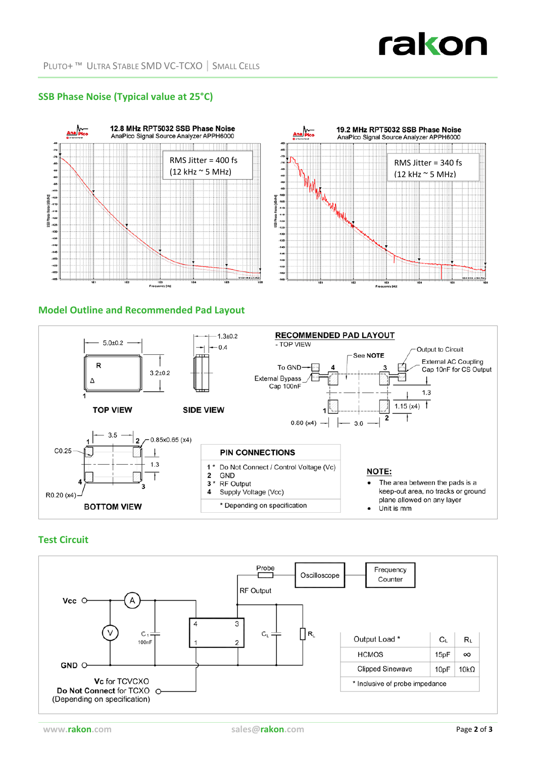# **SSB Phase Noise (Typical value at 25°C)**





## **Model Outline and Recommended Pad Layout**



### **Test Circuit**